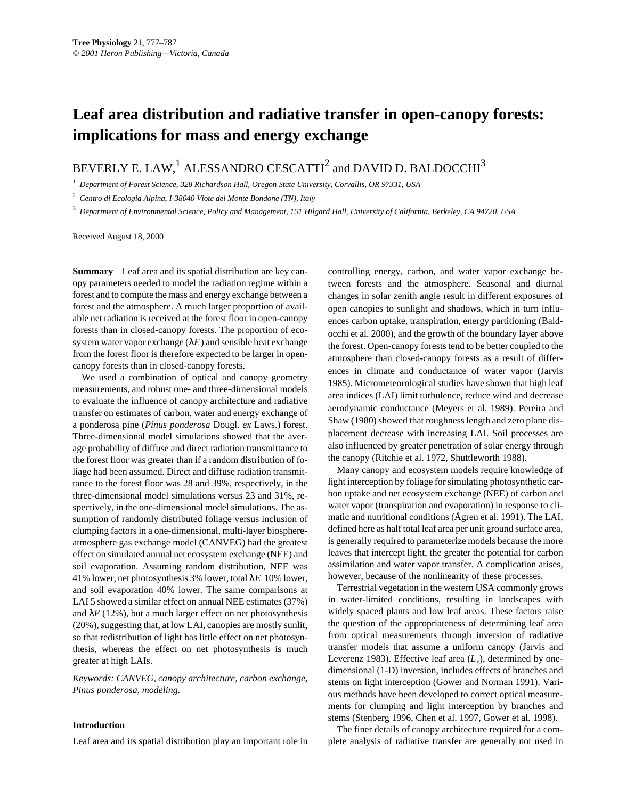## **Leaf area distribution and radiative transfer in open-canopy forests: implications for mass and energy exchange**

BEVERLY E. LAW,<sup>1</sup> ALESSANDRO CESCATTI<sup>2</sup> and DAVID D. BALDOCCHI<sup>3</sup>

<sup>1</sup> *Department of Forest Science, 328 Richardson Hall, Oregon State University, Corvallis, OR 97331, USA*

<sup>2</sup> *Centro di Ecologia Alpina, I-38040 Viote del Monte Bondone (TN), Italy*

<sup>3</sup> *Department of Environmental Science, Policy and Management, 151 Hilgard Hall, University of California, Berkeley, CA 94720, USA*

Received August 18, 2000

**Summary** Leaf area and its spatial distribution are key canopy parameters needed to model the radiation regime within a forest and to compute the mass and energy exchange between a forest and the atmosphere. A much larger proportion of available net radiation is received at the forest floor in open-canopy forests than in closed-canopy forests. The proportion of ecosystem water vapor exchange  $(\lambda E)$  and sensible heat exchange from the forest floor is therefore expected to be larger in opencanopy forests than in closed-canopy forests.

We used a combination of optical and canopy geometry measurements, and robust one- and three-dimensional models to evaluate the influence of canopy architecture and radiative transfer on estimates of carbon, water and energy exchange of a ponderosa pine (*Pinus ponderosa* Dougl. *ex* Laws.) forest. Three-dimensional model simulations showed that the average probability of diffuse and direct radiation transmittance to the forest floor was greater than if a random distribution of foliage had been assumed. Direct and diffuse radiation transmittance to the forest floor was 28 and 39%, respectively, in the three-dimensional model simulations versus 23 and 31%, respectively, in the one-dimensional model simulations. The assumption of randomly distributed foliage versus inclusion of clumping factors in a one-dimensional, multi-layer biosphereatmosphere gas exchange model (CANVEG) had the greatest effect on simulated annual net ecosystem exchange (NEE) and soil evaporation. Assuming random distribution, NEE was 41% lower, net photosynthesis 3% lower, total λ*E* 10% lower, and soil evaporation 40% lower. The same comparisons at LAI 5 showed a similar effect on annual NEE estimates (37%) and  $\lambda E$  (12%), but a much larger effect on net photosynthesis (20%), suggesting that, at low LAI, canopies are mostly sunlit, so that redistribution of light has little effect on net photosynthesis, whereas the effect on net photosynthesis is much greater at high LAIs.

*Keywords: CANVEG, canopy architecture, carbon exchange, Pinus ponderosa, modeling.*

## **Introduction**

Leaf area and its spatial distribution play an important role in

controlling energy, carbon, and water vapor exchange between forests and the atmosphere. Seasonal and diurnal changes in solar zenith angle result in different exposures of open canopies to sunlight and shadows, which in turn influences carbon uptake, transpiration, energy partitioning (Baldocchi et al. 2000), and the growth of the boundary layer above the forest. Open-canopy forests tend to be better coupled to the atmosphere than closed-canopy forests as a result of differences in climate and conductance of water vapor (Jarvis 1985). Micrometeorological studies have shown that high leaf area indices (LAI) limit turbulence, reduce wind and decrease aerodynamic conductance (Meyers et al. 1989). Pereira and Shaw (1980) showed that roughness length and zero plane displacement decrease with increasing LAI. Soil processes are also influenced by greater penetration of solar energy through the canopy (Ritchie et al. 1972, Shuttleworth 1988).

Many canopy and ecosystem models require knowledge of light interception by foliage for simulating photosynthetic carbon uptake and net ecosystem exchange (NEE) of carbon and water vapor (transpiration and evaporation) in response to climatic and nutritional conditions (Ågren et al. 1991). The LAI, defined here as half total leaf area per unit ground surface area, is generally required to parameterize models because the more leaves that intercept light, the greater the potential for carbon assimilation and water vapor transfer. A complication arises, however, because of the nonlinearity of these processes.

Terrestrial vegetation in the western USA commonly grows in water-limited conditions, resulting in landscapes with widely spaced plants and low leaf areas. These factors raise the question of the appropriateness of determining leaf area from optical measurements through inversion of radiative transfer models that assume a uniform canopy (Jarvis and Leverenz 1983). Effective leaf area (*L*e), determined by onedimensional (1-D) inversion, includes effects of branches and stems on light interception (Gower and Norman 1991). Various methods have been developed to correct optical measurements for clumping and light interception by branches and stems (Stenberg 1996, Chen et al. 1997, Gower et al. 1998).

The finer details of canopy architecture required for a complete analysis of radiative transfer are generally not used in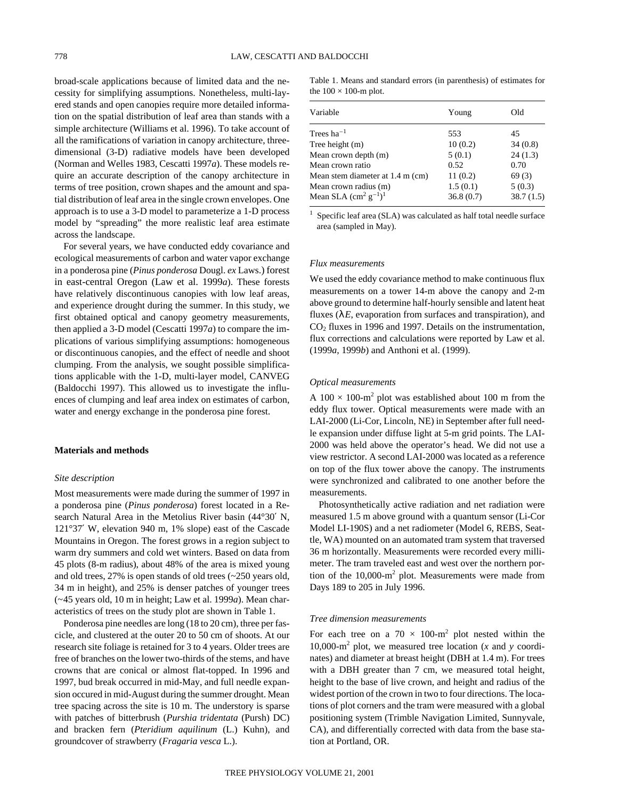broad-scale applications because of limited data and the necessity for simplifying assumptions. Nonetheless, multi-layered stands and open canopies require more detailed information on the spatial distribution of leaf area than stands with a simple architecture (Williams et al. 1996). To take account of all the ramifications of variation in canopy architecture, threedimensional (3-D) radiative models have been developed (Norman and Welles 1983, Cescatti 1997*a*). These models require an accurate description of the canopy architecture in terms of tree position, crown shapes and the amount and spatial distribution of leaf area in the single crown envelopes. One approach is to use a 3-D model to parameterize a 1-D process model by "spreading" the more realistic leaf area estimate across the landscape.

For several years, we have conducted eddy covariance and ecological measurements of carbon and water vapor exchange in a ponderosa pine (*Pinus ponderosa* Dougl. *ex* Laws.) forest in east-central Oregon (Law et al. 1999*a*). These forests have relatively discontinuous canopies with low leaf areas, and experience drought during the summer. In this study, we first obtained optical and canopy geometry measurements, then applied a 3-D model (Cescatti 1997*a*) to compare the implications of various simplifying assumptions: homogeneous or discontinuous canopies, and the effect of needle and shoot clumping. From the analysis, we sought possible simplifications applicable with the 1-D, multi-layer model, CANVEG (Baldocchi 1997). This allowed us to investigate the influences of clumping and leaf area index on estimates of carbon, water and energy exchange in the ponderosa pine forest.

## **Materials and methods**

#### *Site description*

Most measurements were made during the summer of 1997 in a ponderosa pine (*Pinus ponderosa*) forest located in a Research Natural Area in the Metolius River basin (44°30′ N, 121°37′ W, elevation 940 m, 1% slope) east of the Cascade Mountains in Oregon. The forest grows in a region subject to warm dry summers and cold wet winters. Based on data from 45 plots (8-m radius), about 48% of the area is mixed young and old trees, 27% is open stands of old trees (~250 years old, 34 m in height), and 25% is denser patches of younger trees (~45 years old, 10 m in height; Law et al. 1999*a*). Mean characteristics of trees on the study plot are shown in Table 1.

Ponderosa pine needles are long (18 to 20 cm), three per fascicle, and clustered at the outer 20 to 50 cm of shoots. At our research site foliage is retained for 3 to 4 years. Older trees are free of branches on the lower two-thirds of the stems, and have crowns that are conical or almost flat-topped. In 1996 and 1997, bud break occurred in mid-May, and full needle expansion occured in mid-August during the summer drought. Mean tree spacing across the site is 10 m. The understory is sparse with patches of bitterbrush (*Purshia tridentata* (Pursh) DC) and bracken fern (*Pteridium aquilinum* (L.) Kuhn), and groundcover of strawberry (*Fragaria vesca* L.).

Table 1. Means and standard errors (in parenthesis) of estimates for the  $100 \times 100$ -m plot.

| Variable                                  | Young     | Old       |
|-------------------------------------------|-----------|-----------|
| Trees ha $^{-1}$                          | 553       | 45        |
| Tree height (m)                           | 10(0.2)   | 34(0.8)   |
| Mean crown depth (m)                      | 5(0.1)    | 24(1.3)   |
| Mean crown ratio                          | 0.52      | 0.70      |
| Mean stem diameter at 1.4 m (cm)          | 11(0.2)   | 69(3)     |
| Mean crown radius (m)                     | 1.5(0.1)  | 5(0.3)    |
| Mean SLA $\text{(cm}^2 \text{ g}^{-1})^1$ | 36.8(0.7) | 38.7(1.5) |
|                                           |           |           |

<sup>1</sup> Specific leaf area (SLA) was calculated as half total needle surface area (sampled in May).

## *Flux measurements*

We used the eddy covariance method to make continuous flux measurements on a tower 14-m above the canopy and 2-m above ground to determine half-hourly sensible and latent heat fluxes  $(\lambda E,$  evaporation from surfaces and transpiration), and CO2 fluxes in 1996 and 1997. Details on the instrumentation, flux corrections and calculations were reported by Law et al. (1999*a*, 1999*b*) and Anthoni et al. (1999).

#### *Optical measurements*

A  $100 \times 100$ -m<sup>2</sup> plot was established about 100 m from the eddy flux tower. Optical measurements were made with an LAI-2000 (Li-Cor, Lincoln, NE) in September after full needle expansion under diffuse light at 5-m grid points. The LAI-2000 was held above the operator's head. We did not use a view restrictor. A second LAI-2000 was located as a reference on top of the flux tower above the canopy. The instruments were synchronized and calibrated to one another before the measurements.

Photosynthetically active radiation and net radiation were measured 1.5 m above ground with a quantum sensor (Li-Cor Model LI-190S) and a net radiometer (Model 6, REBS, Seattle, WA) mounted on an automated tram system that traversed 36 m horizontally. Measurements were recorded every millimeter. The tram traveled east and west over the northern portion of the  $10,000 \text{ m}^2$  plot. Measurements were made from Days 189 to 205 in July 1996.

#### *Tree dimension measurements*

For each tree on a  $70 \times 100 \text{ m}^2$  plot nested within the 10,000-m<sup>2</sup> plot, we measured tree location  $(x \text{ and } y \text{ coordi})$ nates) and diameter at breast height (DBH at 1.4 m). For trees with a DBH greater than 7 cm, we measured total height, height to the base of live crown, and height and radius of the widest portion of the crown in two to four directions. The locations of plot corners and the tram were measured with a global positioning system (Trimble Navigation Limited, Sunnyvale, CA), and differentially corrected with data from the base station at Portland, OR.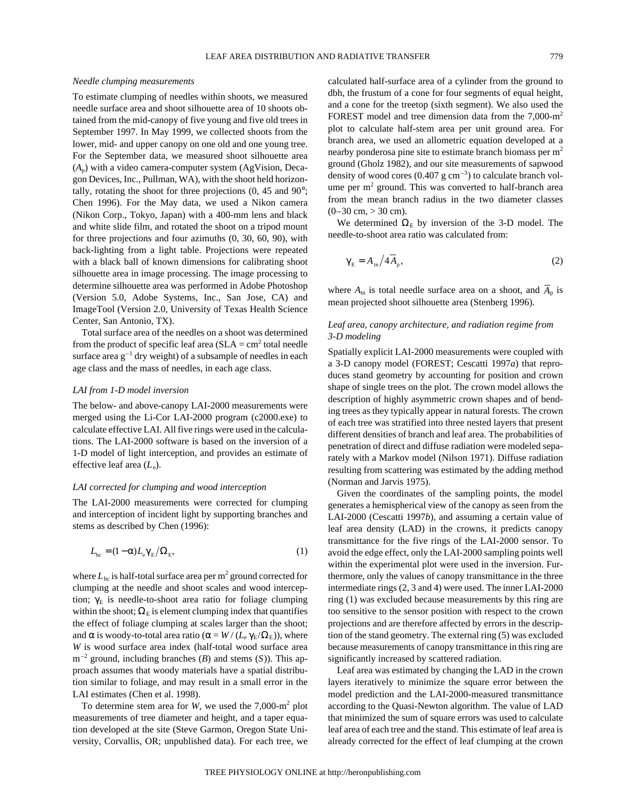#### *Needle clumping measurements*

To estimate clumping of needles within shoots, we measured needle surface area and shoot silhouette area of 10 shoots obtained from the mid-canopy of five young and five old trees in September 1997. In May 1999, we collected shoots from the lower, mid- and upper canopy on one old and one young tree. For the September data, we measured shoot silhouette area (*A*p) with a video camera-computer system (AgVision, Decagon Devices, Inc., Pullman, WA), with the shoot held horizontally, rotating the shoot for three projections (0, 45 and 90°; Chen 1996). For the May data, we used a Nikon camera (Nikon Corp., Tokyo, Japan) with a 400-mm lens and black and white slide film, and rotated the shoot on a tripod mount for three projections and four azimuths (0, 30, 60, 90), with back-lighting from a light table. Projections were repeated with a black ball of known dimensions for calibrating shoot silhouette area in image processing. The image processing to determine silhouette area was performed in Adobe Photoshop (Version 5.0, Adobe Systems, Inc., San Jose, CA) and ImageTool (Version 2.0, University of Texas Health Science Center, San Antonio, TX).

Total surface area of the needles on a shoot was determined from the product of specific leaf area ( $SLA = cm<sup>2</sup>$  total needle surface area  $g^{-1}$  dry weight) of a subsample of needles in each age class and the mass of needles, in each age class.

#### *LAI from 1-D model inversion*

The below- and above-canopy LAI-2000 measurements were merged using the Li-Cor LAI-2000 program (c2000.exe) to calculate effective LAI. All five rings were used in the calculations. The LAI-2000 software is based on the inversion of a 1-D model of light interception, and provides an estimate of effective leaf area (*L*<sub>e</sub>).

## *LAI corrected for clumping and wood interception*

The LAI-2000 measurements were corrected for clumping and interception of incident light by supporting branches and stems as described by Chen (1996):

$$
L_{\text{hc}} = (1 - \alpha) L_{\text{e}} \gamma_{\text{E}} / \Omega_{\text{E}}, \tag{1}
$$

where  $L_{hc}$  is half-total surface area per  $m^2$  ground corrected for clumping at the needle and shoot scales and wood interception;  $\gamma_E$  is needle-to-shoot area ratio for foliage clumping within the shoot;  $\Omega_E$  is element clumping index that quantifies the effect of foliage clumping at scales larger than the shoot; and  $\alpha$  is woody-to-total area ratio ( $\alpha = W / (L_e \gamma_E / \Omega_E)$ ), where *W* is wood surface area index (half-total wood surface area m–2 ground, including branches (*B*) and stems (*S*)). This approach assumes that woody materials have a spatial distribution similar to foliage, and may result in a small error in the LAI estimates (Chen et al. 1998).

To determine stem area for *W*, we used the 7,000-m<sup>2</sup> plot measurements of tree diameter and height, and a taper equation developed at the site (Steve Garmon, Oregon State University, Corvallis, OR; unpublished data). For each tree, we calculated half-surface area of a cylinder from the ground to dbh, the frustum of a cone for four segments of equal height, and a cone for the treetop (sixth segment). We also used the FOREST model and tree dimension data from the 7,000-m2 plot to calculate half-stem area per unit ground area. For branch area, we used an allometric equation developed at a nearby ponderosa pine site to estimate branch biomass per m<sup>2</sup> ground (Gholz 1982), and our site measurements of sapwood density of wood cores  $(0.407 \text{ g cm}^{-3})$  to calculate branch volume per  $m<sup>2</sup>$  ground. This was converted to half-branch area from the mean branch radius in the two diameter classes  $(0-30 \text{ cm}, > 30 \text{ cm}).$ 

We determined  $\Omega$ <sub>E</sub> by inversion of the 3-D model. The needle-to-shoot area ratio was calculated from:

$$
\gamma_{\rm E} = A_{\rm tn} / 4 \overline{A}_{\rm p},\tag{2}
$$

where  $A_{\text{tn}}$  is total needle surface area on a shoot, and  $A_{\text{p}}$  is mean projected shoot silhouette area (Stenberg 1996).

## *Leaf area, canopy architecture, and radiation regime from 3-D modeling*

Spatially explicit LAI-2000 measurements were coupled with a 3-D canopy model (FOREST; Cescatti 1997*a*) that reproduces stand geometry by accounting for position and crown shape of single trees on the plot. The crown model allows the description of highly asymmetric crown shapes and of bending trees as they typically appear in natural forests. The crown of each tree was stratified into three nested layers that present different densities of branch and leaf area. The probabilities of penetration of direct and diffuse radiation were modeled separately with a Markov model (Nilson 1971). Diffuse radiation resulting from scattering was estimated by the adding method (Norman and Jarvis 1975).

Given the coordinates of the sampling points, the model generates a hemispherical view of the canopy as seen from the LAI-2000 (Cescatti 1997*b*), and assuming a certain value of leaf area density (LAD) in the crowns, it predicts canopy transmittance for the five rings of the LAI-2000 sensor. To avoid the edge effect, only the LAI-2000 sampling points well within the experimental plot were used in the inversion. Furthermore, only the values of canopy transmittance in the three intermediate rings (2, 3 and 4) were used. The inner LAI-2000 ring (1) was excluded because measurements by this ring are too sensitive to the sensor position with respect to the crown projections and are therefore affected by errors in the description of the stand geometry. The external ring (5) was excluded because measurements of canopy transmittance in this ring are significantly increased by scattered radiation.

Leaf area was estimated by changing the LAD in the crown layers iteratively to minimize the square error between the model prediction and the LAI-2000-measured transmittance according to the Quasi-Newton algorithm. The value of LAD that minimized the sum of square errors was used to calculate leaf area of each tree and the stand. This estimate of leaf area is already corrected for the effect of leaf clumping at the crown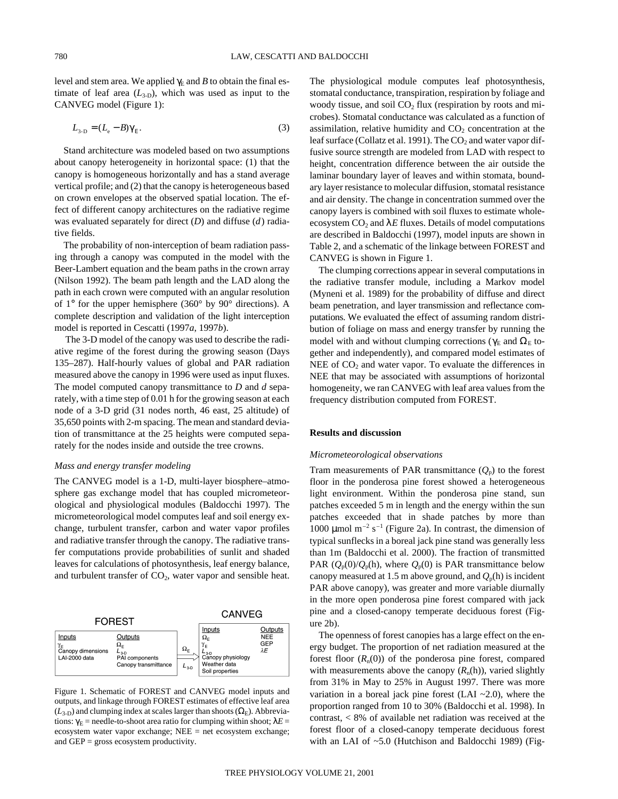level and stem area. We applied  $\gamma_E$  and *B* to obtain the final estimate of leaf area  $(L_{3-D})$ , which was used as input to the CANVEG model (Figure 1):

$$
L_{3-D} = (L_{\rm e} - B)\gamma_{\rm E}.\tag{3}
$$

Stand architecture was modeled based on two assumptions about canopy heterogeneity in horizontal space: (1) that the canopy is homogeneous horizontally and has a stand average vertical profile; and (2) that the canopy is heterogeneous based on crown envelopes at the observed spatial location. The effect of different canopy architectures on the radiative regime was evaluated separately for direct (*D*) and diffuse (*d*) radiative fields.

The probability of non-interception of beam radiation passing through a canopy was computed in the model with the Beer-Lambert equation and the beam paths in the crown array (Nilson 1992). The beam path length and the LAD along the path in each crown were computed with an angular resolution of 1° for the upper hemisphere (360° by 90° directions). A complete description and validation of the light interception model is reported in Cescatti (1997*a*, 1997*b*).

The 3-D model of the canopy was used to describe the radiative regime of the forest during the growing season (Days 135–287). Half-hourly values of global and PAR radiation measured above the canopy in 1996 were used as input fluxes. The model computed canopy transmittance to *D* and *d* separately, with a time step of 0.01 h for the growing season at each node of a 3-D grid (31 nodes north, 46 east, 25 altitude) of 35,650 points with 2-m spacing. The mean and standard deviation of transmittance at the 25 heights were computed separately for the nodes inside and outside the tree crowns.

## *Mass and energy transfer modeling*

The CANVEG model is a 1-D, multi-layer biosphere–atmosphere gas exchange model that has coupled micrometeorological and physiological modules (Baldocchi 1997). The micrometeorological model computes leaf and soil energy exchange, turbulent transfer, carbon and water vapor profiles and radiative transfer through the canopy. The radiative transfer computations provide probabilities of sunlit and shaded leaves for calculations of photosynthesis, leaf energy balance, and turbulent transfer of  $CO<sub>2</sub>$ , water vapor and sensible heat.



Figure 1. Schematic of FOREST and CANVEG model inputs and outputs, and linkage through FOREST estimates of effective leaf area  $(L<sub>3-D</sub>)$  and clumping index at scales larger than shoots ( $\Omega<sub>E</sub>$ ). Abbreviations:  $\gamma_E$  = needle-to-shoot area ratio for clumping within shoot;  $\lambda E$  = ecosystem water vapor exchange; NEE = net ecosystem exchange; and GEP = gross ecosystem productivity.

The physiological module computes leaf photosynthesis, stomatal conductance, transpiration, respiration by foliage and woody tissue, and soil  $CO<sub>2</sub>$  flux (respiration by roots and microbes). Stomatal conductance was calculated as a function of assimilation, relative humidity and  $CO<sub>2</sub>$  concentration at the leaf surface (Collatz et al. 1991). The  $CO<sub>2</sub>$  and water vapor diffusive source strength are modeled from LAD with respect to height, concentration difference between the air outside the laminar boundary layer of leaves and within stomata, boundary layer resistance to molecular diffusion, stomatal resistance and air density. The change in concentration summed over the canopy layers is combined with soil fluxes to estimate wholeecosystem  $CO<sub>2</sub>$  and  $\lambda E$  fluxes. Details of model computations are described in Baldocchi (1997), model inputs are shown in Table 2, and a schematic of the linkage between FOREST and CANVEG is shown in Figure 1.

The clumping corrections appear in several computations in the radiative transfer module, including a Markov model (Myneni et al. 1989) for the probability of diffuse and direct beam penetration, and layer transmission and reflectance computations. We evaluated the effect of assuming random distribution of foliage on mass and energy transfer by running the model with and without clumping corrections ( $\gamma_E$  and  $\Omega_E$  together and independently), and compared model estimates of NEE of  $CO<sub>2</sub>$  and water vapor. To evaluate the differences in NEE that may be associated with assumptions of horizontal homogeneity, we ran CANVEG with leaf area values from the frequency distribution computed from FOREST.

## **Results and discussion**

#### *Micrometeorological observations*

Tram measurements of PAR transmittance  $(Q_p)$  to the forest floor in the ponderosa pine forest showed a heterogeneous light environment. Within the ponderosa pine stand, sun patches exceeded 5 m in length and the energy within the sun patches exceeded that in shade patches by more than 1000  $\mu$ mol m<sup>-2</sup> s<sup>-1</sup> (Figure 2a). In contrast, the dimension of typical sunflecks in a boreal jack pine stand was generally less than 1m (Baldocchi et al. 2000). The fraction of transmitted PAR  $(Q_p(0)/Q_p(h)$ , where  $Q_p(0)$  is PAR transmittance below canopy measured at 1.5 m above ground, and  $Q_p(h)$  is incident PAR above canopy), was greater and more variable diurnally in the more open ponderosa pine forest compared with jack pine and a closed-canopy temperate deciduous forest (Figure 2b).

The openness of forest canopies has a large effect on the energy budget. The proportion of net radiation measured at the forest floor  $(R_n(0))$  of the ponderosa pine forest, compared with measurements above the canopy  $(R_n(h))$ , varied slightly from 31% in May to 25% in August 1997. There was more variation in a boreal jack pine forest (LAI  $~2.0$ ), where the proportion ranged from 10 to 30% (Baldocchi et al. 1998). In contrast, < 8% of available net radiation was received at the forest floor of a closed-canopy temperate deciduous forest with an LAI of ~5.0 (Hutchison and Baldocchi 1989) (Fig-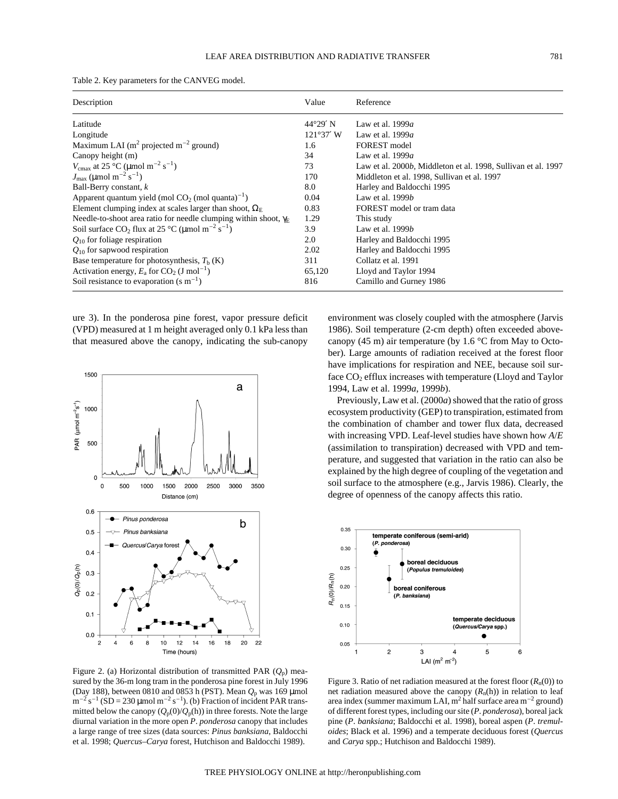| Description                                                                     | Value             | Reference                                                     |
|---------------------------------------------------------------------------------|-------------------|---------------------------------------------------------------|
| Latitude                                                                        | $44^{\circ}29'$ N | Law et al. $1999a$                                            |
| Longitude                                                                       | $121°37'$ W       | Law et al. $1999a$                                            |
| Maximum LAI ( $m^2$ projected $m^{-2}$ ground)                                  | 1.6               | FOREST model                                                  |
| Canopy height (m)                                                               | 34                | Law et al. $1999a$                                            |
| $V_{\rm cmax}$ at 25 °C (µmol m <sup>-2</sup> s <sup>-1</sup> )                 | 73                | Law et al. 2000b, Middleton et al. 1998, Sullivan et al. 1997 |
| $J_{\text{max}}$ (µmol m <sup>-2</sup> s <sup>-1</sup> )                        | 170               | Middleton et al. 1998, Sullivan et al. 1997                   |
| Ball-Berry constant, $k$                                                        | 8.0               | Harley and Baldocchi 1995                                     |
| Apparent quantum yield (mol $CO2$ (mol quanta) <sup>-1</sup> )                  | 0.04              | Law et al. 1999 <i>b</i>                                      |
| Element clumping index at scales larger than shoot, $\Omega_{\rm E}$            | 0.83              | FOREST model or tram data                                     |
| Needle-to-shoot area ratio for needle clumping within shoot, $\gamma_E$         | 1.29              | This study                                                    |
| Soil surface $CO_2$ flux at 25 °C ( $\mu$ mol m <sup>-2</sup> s <sup>-1</sup> ) | 3.9               | Law et al. $1999b$                                            |
| $Q_{10}$ for foliage respiration                                                | 2.0               | Harley and Baldocchi 1995                                     |
| $Q_{10}$ for sapwood respiration                                                | 2.02              | Harley and Baldocchi 1995                                     |
| Base temperature for photosynthesis, $Th$ (K)                                   | 311               | Collatz et al. 1991                                           |
| Activation energy, $E_a$ for $CO_2$ (J mol <sup>-1</sup> )                      | 65,120            | Lloyd and Taylor 1994                                         |
| Soil resistance to evaporation $(s m^{-1})$                                     | 816               | Camillo and Gurney 1986                                       |

Table 2. Key parameters for the CANVEG model.

ure 3). In the ponderosa pine forest, vapor pressure deficit (VPD) measured at 1 m height averaged only 0.1 kPa less than that measured above the canopy, indicating the sub-canopy



Figure 2. (a) Horizontal distribution of transmitted PAR (*Q*p) measured by the 36-m long tram in the ponderosa pine forest in July 1996 (Day 188), between 0810 and 0853 h (PST). Mean *Q*<sup>p</sup> was 169 µmol  $m^{-2}$  s<sup>-1</sup> (SD = 230 µmol m<sup>-2</sup> s<sup>-1</sup>). (b) Fraction of incident PAR transmitted below the canopy  $(Q_p(0)/Q_p(h))$  in three forests. Note the large diurnal variation in the more open *P*. *ponderosa* canopy that includes a large range of tree sizes (data sources: *Pinus banksiana*, Baldocchi et al. 1998; *Quercus*–*Carya* forest, Hutchison and Baldocchi 1989).

environment was closely coupled with the atmosphere (Jarvis 1986). Soil temperature (2-cm depth) often exceeded abovecanopy (45 m) air temperature (by 1.6 °C from May to October). Large amounts of radiation received at the forest floor have implications for respiration and NEE, because soil surface CO<sub>2</sub> efflux increases with temperature (Lloyd and Taylor 1994, Law et al. 1999*a*, 1999*b*).

Previously, Law et al. (2000*a*) showed that the ratio of gross ecosystem productivity (GEP) to transpiration, estimated from the combination of chamber and tower flux data, decreased with increasing VPD. Leaf-level studies have shown how *A*/*E* (assimilation to transpiration) decreased with VPD and temperature, and suggested that variation in the ratio can also be explained by the high degree of coupling of the vegetation and soil surface to the atmosphere (e.g., Jarvis 1986). Clearly, the degree of openness of the canopy affects this ratio.



Figure 3. Ratio of net radiation measured at the forest floor  $(R_n(0))$  to net radiation measured above the canopy  $(R_n(h))$  in relation to leaf area index (summer maximum LAI,  $m^2$  half surface area  $m^{-2}$  ground) of different forest types, including our site (*P*. *ponderosa*), boreal jack pine (*P*. *banksiana*; Baldocchi et al. 1998), boreal aspen (*P*. *tremuloides*; Black et al. 1996) and a temperate deciduous forest (*Quercus* and *Carya* spp.; Hutchison and Baldocchi 1989).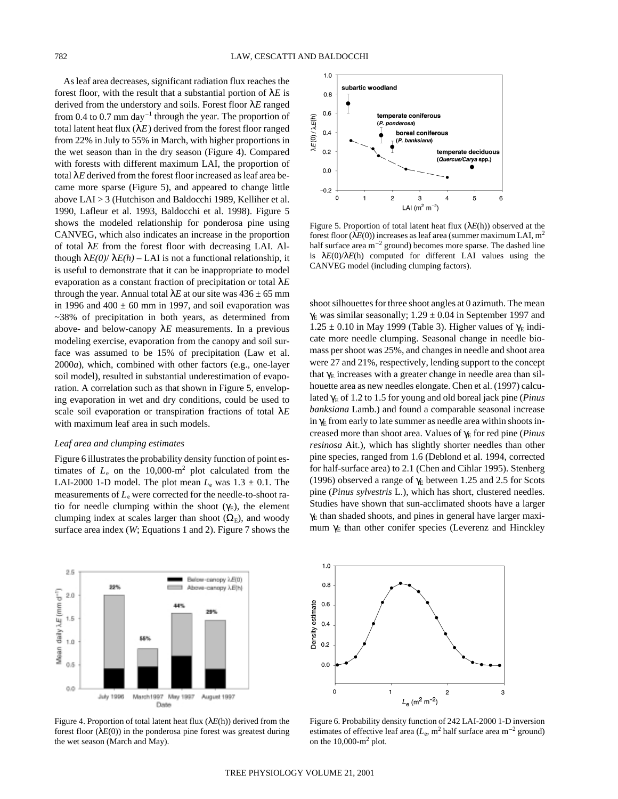As leaf area decreases, significant radiation flux reaches the forest floor, with the result that a substantial portion of  $\lambda E$  is derived from the understory and soils. Forest floor λ*E* ranged from 0.4 to 0.7 mm day<sup>-1</sup> through the year. The proportion of total latent heat flux  $(\lambda E)$  derived from the forest floor ranged from 22% in July to 55% in March, with higher proportions in the wet season than in the dry season (Figure 4). Compared with forests with different maximum LAI, the proportion of total λ*E* derived from the forest floor increased as leaf area became more sparse (Figure 5), and appeared to change little above LAI > 3 (Hutchison and Baldocchi 1989, Kelliher et al. 1990, Lafleur et al. 1993, Baldocchi et al. 1998). Figure 5 shows the modeled relationship for ponderosa pine using CANVEG, which also indicates an increase in the proportion of total λ*E* from the forest floor with decreasing LAI. Although  $\lambda E(0) / \lambda E(h)$  – LAI is not a functional relationship, it is useful to demonstrate that it can be inappropriate to model evaporation as a constant fraction of precipitation or total λ*E* through the year. Annual total  $\lambda E$  at our site was  $436 \pm 65$  mm in 1996 and  $400 \pm 60$  mm in 1997, and soil evaporation was ~38% of precipitation in both years, as determined from above- and below-canopy  $\lambda E$  measurements. In a previous modeling exercise, evaporation from the canopy and soil surface was assumed to be 15% of precipitation (Law et al. 2000*a*), which, combined with other factors (e.g., one-layer soil model), resulted in substantial underestimation of evaporation. A correlation such as that shown in Figure 5, enveloping evaporation in wet and dry conditions, could be used to scale soil evaporation or transpiration fractions of total λ*E* with maximum leaf area in such models.

## *Leaf area and clumping estimates*

Figure 6 illustrates the probability density function of point estimates of  $L_e$  on the 10,000-m<sup>2</sup> plot calculated from the LAI-2000 1-D model. The plot mean  $L_e$  was  $1.3 \pm 0.1$ . The measurements of  $L_e$  were corrected for the needle-to-shoot ratio for needle clumping within the shoot  $(\gamma_E)$ , the element clumping index at scales larger than shoot  $(\Omega_E)$ , and woody surface area index (*W*; Equations 1 and 2). Figure 7 shows the



Figure 4. Proportion of total latent heat flux (λ*E*(h)) derived from the forest floor  $(\lambda E(0))$  in the ponderosa pine forest was greatest during the wet season (March and May).



Figure 5. Proportion of total latent heat flux (λ*E*(h)) observed at the forest floor  $(\lambda E(0))$  increases as leaf area (summer maximum LAI, m<sup>2</sup> half surface area  $m^{-2}$  ground) becomes more sparse. The dashed line is  $\lambda E(0)/\lambda E(h)$  computed for different LAI values using the CANVEG model (including clumping factors).

shoot silhouettes for three shoot angles at 0 azimuth. The mean  $\gamma_E$  was similar seasonally; 1.29  $\pm$  0.04 in September 1997 and  $1.25 \pm 0.10$  in May 1999 (Table 3). Higher values of  $\gamma_E$  indicate more needle clumping. Seasonal change in needle biomass per shoot was 25%, and changes in needle and shoot area were 27 and 21%, respectively, lending support to the concept that  $\gamma_E$  increases with a greater change in needle area than silhouette area as new needles elongate. Chen et al. (1997) calculated γ<sub>E</sub> of 1.2 to 1.5 for young and old boreal jack pine (*Pinus banksiana* Lamb.) and found a comparable seasonal increase in  $\gamma_E$  from early to late summer as needle area within shoots increased more than shoot area. Values of γ<sup>E</sup> for red pine (*Pinus resinosa* Ait.), which has slightly shorter needles than other pine species, ranged from 1.6 (Deblond et al. 1994, corrected for half-surface area) to 2.1 (Chen and Cihlar 1995). Stenberg (1996) observed a range of  $\gamma_E$  between 1.25 and 2.5 for Scots pine (*Pinus sylvestris* L.), which has short, clustered needles. Studies have shown that sun-acclimated shoots have a larger  $\gamma$ <sub>E</sub> than shaded shoots, and pines in general have larger maximum  $\gamma_E$  than other conifer species (Leverenz and Hinckley



Figure 6. Probability density function of 242 LAI-2000 1-D inversion estimates of effective leaf area  $(L_e, m^2)$  half surface area  $m^{-2}$  ground) on the  $10,000 \text{--} \text{m}^2$  plot.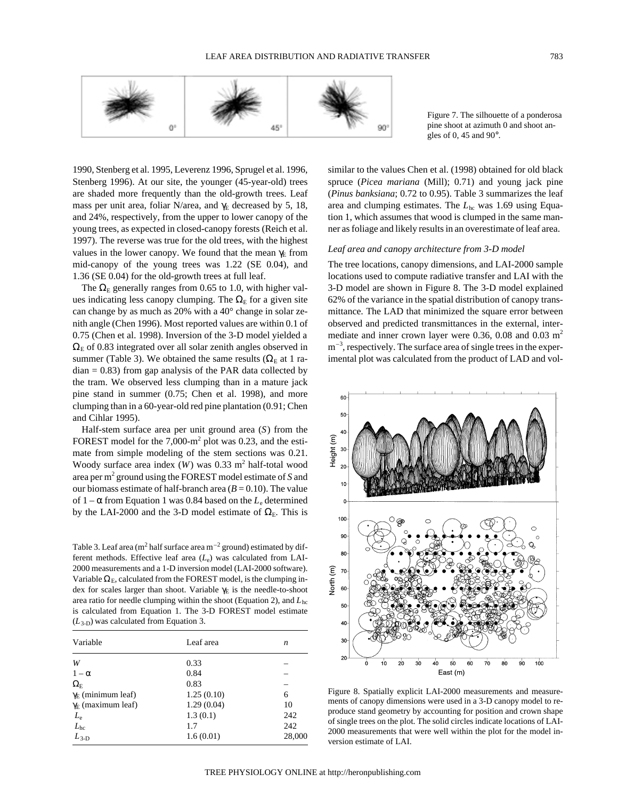

Figure 7. The silhouette of a ponderosa pine shoot at azimuth 0 and shoot angles of 0, 45 and  $90^\circ$ .

1990, Stenberg et al. 1995, Leverenz 1996, Sprugel et al. 1996, Stenberg 1996). At our site, the younger (45-year-old) trees are shaded more frequently than the old-growth trees. Leaf mass per unit area, foliar N/area, and  $\gamma_E$  decreased by 5, 18, and 24%, respectively, from the upper to lower canopy of the young trees, as expected in closed-canopy forests (Reich et al. 1997). The reverse was true for the old trees, with the highest values in the lower canopy. We found that the mean  $\gamma_E$  from mid-canopy of the young trees was 1.22 (SE 0.04), and 1.36 (SE 0.04) for the old-growth trees at full leaf.

The  $\Omega_E$  generally ranges from 0.65 to 1.0, with higher values indicating less canopy clumping. The  $\Omega_{\rm E}$  for a given site can change by as much as 20% with a 40° change in solar zenith angle (Chen 1996). Most reported values are within 0.1 of 0.75 (Chen et al. 1998). Inversion of the 3-D model yielded a  $\Omega$ <sub>E</sub> of 0.83 integrated over all solar zenith angles observed in summer (Table 3). We obtained the same results ( $\Omega_{\rm E}$  at 1 ra $dian = 0.83$ ) from gap analysis of the PAR data collected by the tram. We observed less clumping than in a mature jack pine stand in summer (0.75; Chen et al. 1998), and more clumping than in a 60-year-old red pine plantation (0.91; Chen and Cihlar 1995).

Half-stem surface area per unit ground area (*S*) from the FOREST model for the  $7,000\text{-}m^2$  plot was 0.23, and the estimate from simple modeling of the stem sections was 0.21. Woody surface area index  $(W)$  was 0.33 m<sup>2</sup> half-total wood area per m2 ground using the FOREST model estimate of *S* and our biomass estimate of half-branch area  $(B = 0.10)$ . The value of  $1 - \alpha$  from Equation 1 was 0.84 based on the  $L_e$  determined by the LAI-2000 and the 3-D model estimate of  $\Omega_{\rm E}$ . This is

Table 3. Leaf area (m<sup>2</sup> half surface area m<sup>-2</sup> ground) estimated by different methods. Effective leaf area (*L*e) was calculated from LAI-2000 measurements and a 1-D inversion model (LAI-2000 software). Variable  $\Omega_{\rm E}$ , calculated from the FOREST model, is the clumping index for scales larger than shoot. Variable  $\gamma_E$  is the needle-to-shoot area ratio for needle clumping within the shoot (Equation 2), and *L*hc is calculated from Equation 1. The 3-D FOREST model estimate (*L*3-D) was calculated from Equation 3.

| Variable                        | Leaf area  | n      |  |
|---------------------------------|------------|--------|--|
| W                               | 0.33       |        |  |
| $1-\alpha$                      | 0.84       |        |  |
| $\Omega_{\rm E}$                | 0.83       |        |  |
| $\gamma_{\rm E}$ (minimum leaf) | 1.25(0.10) | 6      |  |
| $\gamma_E$ (maximum leaf)       | 1.29(0.04) | 10     |  |
| $L_{\rm e}$                     | 1.3(0.1)   | 242    |  |
| $L_{\rm hc}$                    | 1.7        | 242    |  |
| $L_{3-D}$                       | 1.6(0.01)  | 28,000 |  |

similar to the values Chen et al. (1998) obtained for old black spruce (*Picea mariana* (Mill); 0.71) and young jack pine (*Pinus banksiana*; 0.72 to 0.95). Table 3 summarizes the leaf area and clumping estimates. The *L*<sub>hc</sub> was 1.69 using Equation 1, which assumes that wood is clumped in the same manner as foliage and likely results in an overestimate of leaf area.

## *Leaf area and canopy architecture from 3-D model*

The tree locations, canopy dimensions, and LAI-2000 sample locations used to compute radiative transfer and LAI with the 3-D model are shown in Figure 8. The 3-D model explained 62% of the variance in the spatial distribution of canopy transmittance. The LAD that minimized the square error between observed and predicted transmittances in the external, intermediate and inner crown layer were 0.36, 0.08 and 0.03 m<sup>2</sup>  $m<sup>-3</sup>$ , respectively. The surface area of single trees in the experimental plot was calculated from the product of LAD and vol-



Figure 8. Spatially explicit LAI-2000 measurements and measurements of canopy dimensions were used in a 3-D canopy model to reproduce stand geometry by accounting for position and crown shape of single trees on the plot. The solid circles indicate locations of LAI-2000 measurements that were well within the plot for the model inversion estimate of LAI.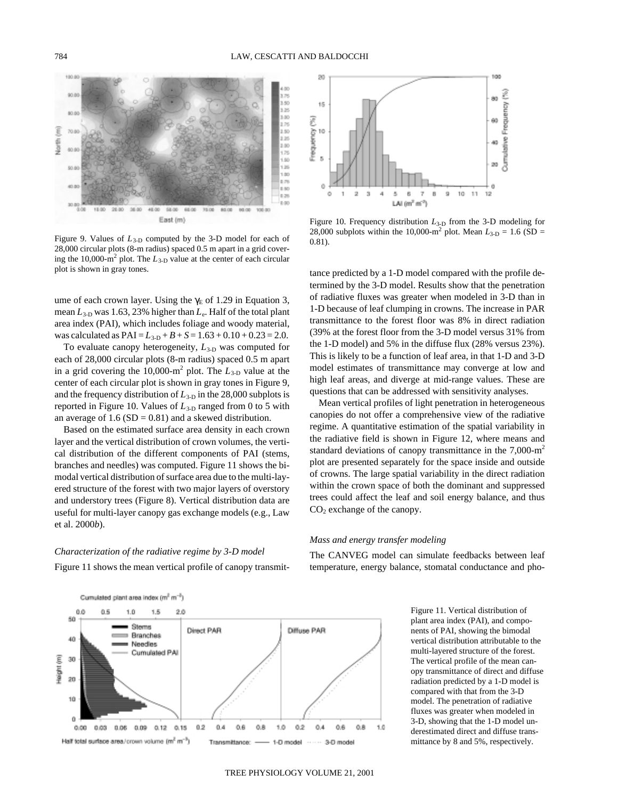

Figure 9. Values of *L*3-D computed by the 3-D model for each of 28,000 circular plots (8-m radius) spaced 0.5 m apart in a grid covering the 10,000-m<sup>2</sup> plot. The  $L_{3-D}$  value at the center of each circular plot is shown in gray tones.

ume of each crown layer. Using the  $\gamma_E$  of 1.29 in Equation 3, mean  $L_{3-D}$  was 1.63, 23% higher than  $L_{e}$ . Half of the total plant area index (PAI), which includes foliage and woody material, was calculated as  $PAI = L_{3-D} + B + S = 1.63 + 0.10 + 0.23 = 2.0$ .

To evaluate canopy heterogeneity,  $L_{3-D}$  was computed for each of 28,000 circular plots (8-m radius) spaced 0.5 m apart in a grid covering the  $10,000 \text{--} \text{m}^2$  plot. The  $L_{3-D}$  value at the center of each circular plot is shown in gray tones in Figure 9, and the frequency distribution of  $L_{3-D}$  in the 28,000 subplots is reported in Figure 10. Values of  $L_{3-D}$  ranged from 0 to 5 with an average of  $1.6$  (SD = 0.81) and a skewed distribution.

Based on the estimated surface area density in each crown layer and the vertical distribution of crown volumes, the vertical distribution of the different components of PAI (stems, branches and needles) was computed. Figure 11 shows the bimodal vertical distribution of surface area due to the multi-layered structure of the forest with two major layers of overstory and understory trees (Figure 8). Vertical distribution data are useful for multi-layer canopy gas exchange models (e.g., Law et al. 2000*b*).

# *Characterization of the radiative regime by 3-D model*

Figure 11 shows the mean vertical profile of canopy transmit-



Figure 10. Frequency distribution  $L_{3-D}$  from the 3-D modeling for 28,000 subplots within the 10,000-m<sup>2</sup> plot. Mean  $L_{3-D} = 1.6$  (SD = 0.81).

tance predicted by a 1-D model compared with the profile determined by the 3-D model. Results show that the penetration of radiative fluxes was greater when modeled in 3-D than in 1-D because of leaf clumping in crowns. The increase in PAR transmittance to the forest floor was 8% in direct radiation (39% at the forest floor from the 3-D model versus 31% from the 1-D model) and 5% in the diffuse flux (28% versus 23%). This is likely to be a function of leaf area, in that 1-D and 3-D model estimates of transmittance may converge at low and high leaf areas, and diverge at mid-range values. These are questions that can be addressed with sensitivity analyses.

Mean vertical profiles of light penetration in heterogeneous canopies do not offer a comprehensive view of the radiative regime. A quantitative estimation of the spatial variability in the radiative field is shown in Figure 12, where means and standard deviations of canopy transmittance in the 7,000-m<sup>2</sup> plot are presented separately for the space inside and outside of crowns. The large spatial variability in the direct radiation within the crown space of both the dominant and suppressed trees could affect the leaf and soil energy balance, and thus CO<sub>2</sub> exchange of the canopy.

## *Mass and energy transfer modeling*

The CANVEG model can simulate feedbacks between leaf temperature, energy balance, stomatal conductance and pho-

> Figure 11. Vertical distribution of plant area index (PAI), and components of PAI, showing the bimodal vertical distribution attributable to the multi-layered structure of the forest. The vertical profile of the mean canopy transmittance of direct and diffuse radiation predicted by a 1-D model is compared with that from the 3-D model. The penetration of radiative fluxes was greater when modeled in 3-D, showing that the 1-D model underestimated direct and diffuse transmittance by 8 and 5%, respectively.

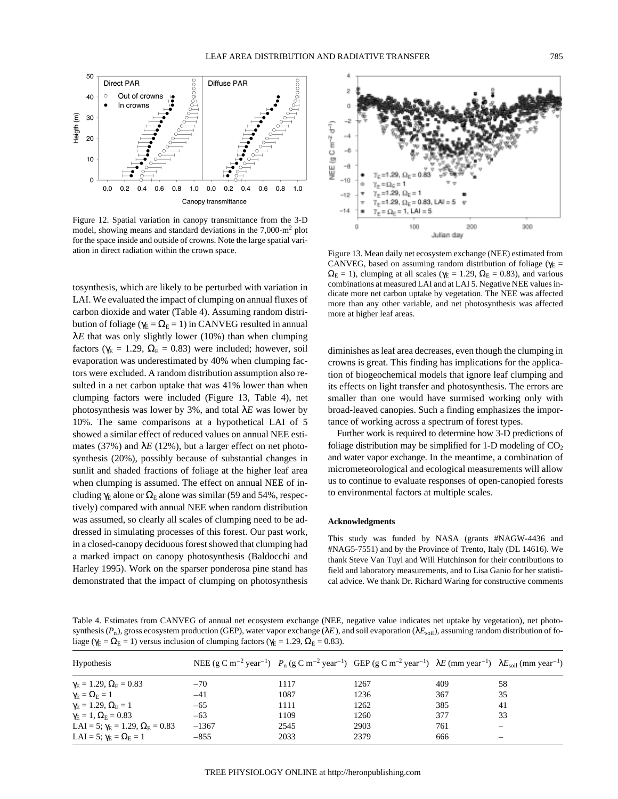

Figure 12. Spatial variation in canopy transmittance from the 3-D model, showing means and standard deviations in the  $7,000\text{-m}^2$  plot for the space inside and outside of crowns. Note the large spatial variation in direct radiation within the crown space.

tosynthesis, which are likely to be perturbed with variation in LAI. We evaluated the impact of clumping on annual fluxes of carbon dioxide and water (Table 4). Assuming random distribution of foliage ( $\gamma_E = \Omega_E = 1$ ) in CANVEG resulted in annual  $\lambda E$  that was only slightly lower (10%) than when clumping factors ( $\gamma_E = 1.29$ ,  $\Omega_E = 0.83$ ) were included; however, soil evaporation was underestimated by 40% when clumping factors were excluded. A random distribution assumption also resulted in a net carbon uptake that was 41% lower than when clumping factors were included (Figure 13, Table 4), net photosynthesis was lower by 3%, and total λ*E* was lower by 10%. The same comparisons at a hypothetical LAI of 5 showed a similar effect of reduced values on annual NEE estimates (37%) and  $\lambda E$  (12%), but a larger effect on net photosynthesis (20%), possibly because of substantial changes in sunlit and shaded fractions of foliage at the higher leaf area when clumping is assumed. The effect on annual NEE of including  $\gamma_E$  alone or  $\Omega_E$  alone was similar (59 and 54%, respectively) compared with annual NEE when random distribution was assumed, so clearly all scales of clumping need to be addressed in simulating processes of this forest. Our past work, in a closed-canopy deciduous forest showed that clumping had a marked impact on canopy photosynthesis (Baldocchi and Harley 1995). Work on the sparser ponderosa pine stand has demonstrated that the impact of clumping on photosynthesis



Figure 13. Mean daily net ecosystem exchange (NEE) estimated from CANVEG, based on assuming random distribution of foliage ( $\gamma_E$  =  $\Omega_{\rm E} = 1$ ), clumping at all scales ( $\gamma_{\rm E} = 1.29$ ,  $\Omega_{\rm E} = 0.83$ ), and various combinations at measured LAI and at LAI 5. Negative NEE values indicate more net carbon uptake by vegetation. The NEE was affected more than any other variable, and net photosynthesis was affected more at higher leaf areas.

diminishes as leaf area decreases, even though the clumping in crowns is great. This finding has implications for the application of biogeochemical models that ignore leaf clumping and its effects on light transfer and photosynthesis. The errors are smaller than one would have surmised working only with broad-leaved canopies. Such a finding emphasizes the importance of working across a spectrum of forest types.

Further work is required to determine how 3-D predictions of foliage distribution may be simplified for 1-D modeling of  $CO<sub>2</sub>$ and water vapor exchange. In the meantime, a combination of micrometeorological and ecological measurements will allow us to continue to evaluate responses of open-canopied forests to environmental factors at multiple scales.

## **Acknowledgments**

This study was funded by NASA (grants #NAGW-4436 and #NAG5-7551) and by the Province of Trento, Italy (DL 14616). We thank Steve Van Tuyl and Will Hutchinson for their contributions to field and laboratory measurements, and to Lisa Ganio for her statistical advice. We thank Dr. Richard Waring for constructive comments

Table 4. Estimates from CANVEG of annual net ecosystem exchange (NEE, negative value indicates net uptake by vegetation), net photosynthesis ( $P_n$ ), gross ecosystem production (GEP), water vapor exchange ( $\lambda E$ ), and soil evaporation ( $\lambda E_{\text{soil}}$ ), assuming random distribution of foliage ( $\gamma_E = \Omega_E = 1$ ) versus inclusion of clumping factors ( $\gamma_E = 1.29$ ,  $\Omega_E = 0.83$ ).

| <b>Hypothesis</b>                              | NEE (g C m <sup>-2</sup> year <sup>-1</sup> ) $P_n$ (g C m <sup>-2</sup> year <sup>-1</sup> ) GEP (g C m <sup>-2</sup> year <sup>-1</sup> ) $\lambda E$ (mm year <sup>-1</sup> ) $\lambda E_{\text{solid}}$ (mm year <sup>-1</sup> ) |      |      |     |          |
|------------------------------------------------|--------------------------------------------------------------------------------------------------------------------------------------------------------------------------------------------------------------------------------------|------|------|-----|----------|
| $\gamma_{\rm E} = 1.29, \Omega_{\rm E} = 0.83$ | $-70$                                                                                                                                                                                                                                | 1117 | 1267 | 409 | 58       |
| $\gamma_{\rm E}=\Omega_{\rm E}=1$              | $-41$                                                                                                                                                                                                                                | 1087 | 1236 | 367 | 35       |
| $\gamma_{\rm E} = 1.29, \Omega_{\rm E} = 1$    | $-65$                                                                                                                                                                                                                                | 1111 | 1262 | 385 | 41       |
| $\gamma_{\rm E}=1, \Omega_{\rm E}=0.83$        | $-63$                                                                                                                                                                                                                                | 1109 | 1260 | 377 | 33       |
| LAI = 5; $\gamma_E = 1.29$ , $\Omega_E = 0.83$ | $-1367$                                                                                                                                                                                                                              | 2545 | 2903 | 761 | $\equiv$ |
| LAI = 5; $\gamma_{\rm E} = \Omega_{\rm E} = 1$ | $-855$                                                                                                                                                                                                                               | 2033 | 2379 | 666 |          |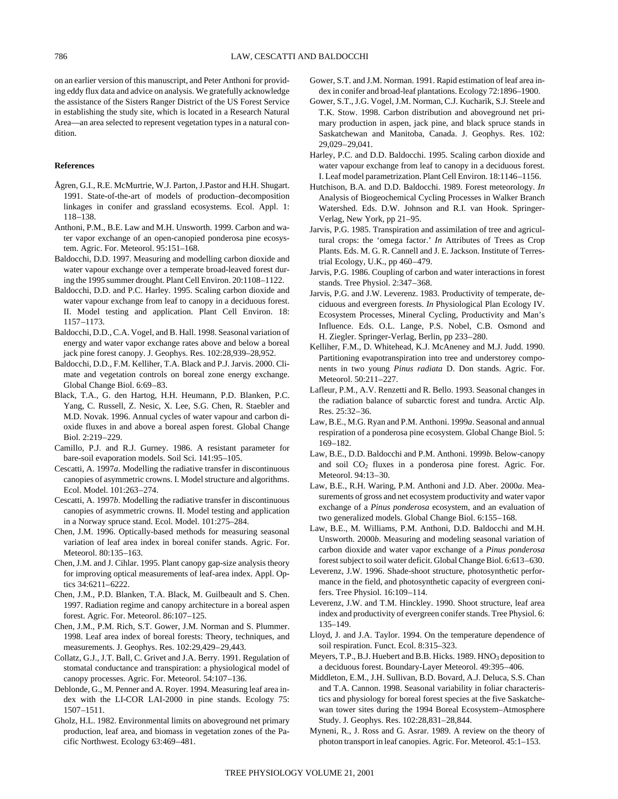on an earlier version of this manuscript, and Peter Anthoni for providing eddy flux data and advice on analysis. We gratefully acknowledge the assistance of the Sisters Ranger District of the US Forest Service in establishing the study site, which is located in a Research Natural Area—an area selected to represent vegetation types in a natural condition.

### **References**

- Ågren, G.I., R.E. McMurtrie, W.J. Parton, J.Pastor and H.H. Shugart. 1991. State-of-the-art of models of production–decomposition linkages in conifer and grassland ecosystems. Ecol. Appl. 1: 118–138.
- Anthoni, P.M., B.E. Law and M.H. Unsworth. 1999. Carbon and water vapor exchange of an open-canopied ponderosa pine ecosystem. Agric. For. Meteorol. 95:151–168.
- Baldocchi, D.D. 1997. Measuring and modelling carbon dioxide and water vapour exchange over a temperate broad-leaved forest during the 1995 summer drought. Plant Cell Environ. 20:1108–1122.
- Baldocchi, D.D. and P.C. Harley. 1995. Scaling carbon dioxide and water vapour exchange from leaf to canopy in a deciduous forest. II. Model testing and application. Plant Cell Environ. 18: 1157–1173.
- Baldocchi, D.D., C.A. Vogel, and B. Hall. 1998. Seasonal variation of energy and water vapor exchange rates above and below a boreal jack pine forest canopy. J. Geophys. Res. 102:28,939–28,952.
- Baldocchi, D.D., F.M. Kelliher, T.A. Black and P.J. Jarvis. 2000. Climate and vegetation controls on boreal zone energy exchange. Global Change Biol. 6:69–83.
- Black, T.A., G. den Hartog, H.H. Heumann, P.D. Blanken, P.C. Yang, C. Russell, Z. Nesic, X. Lee, S.G. Chen, R. Staebler and M.D. Novak. 1996. Annual cycles of water vapour and carbon dioxide fluxes in and above a boreal aspen forest. Global Change Biol. 2:219–229.
- Camillo, P.J. and R.J. Gurney. 1986. A resistant parameter for bare-soil evaporation models. Soil Sci. 141:95–105.
- Cescatti, A. 1997*a*. Modelling the radiative transfer in discontinuous canopies of asymmetric crowns. I. Model structure and algorithms. Ecol. Model. 101:263–274.
- Cescatti, A. 1997*b*. Modelling the radiative transfer in discontinuous canopies of asymmetric crowns. II. Model testing and application in a Norway spruce stand. Ecol. Model. 101:275–284.
- Chen, J.M. 1996. Optically-based methods for measuring seasonal variation of leaf area index in boreal conifer stands. Agric. For. Meteorol. 80:135–163.
- Chen, J.M. and J. Cihlar. 1995. Plant canopy gap-size analysis theory for improving optical measurements of leaf-area index. Appl. Optics 34:6211–6222.
- Chen, J.M., P.D. Blanken, T.A. Black, M. Guilbeault and S. Chen. 1997. Radiation regime and canopy architecture in a boreal aspen forest. Agric. For. Meteorol. 86:107–125.
- Chen, J.M., P.M. Rich, S.T. Gower, J.M. Norman and S. Plummer. 1998. Leaf area index of boreal forests: Theory, techniques, and measurements. J. Geophys. Res. 102:29,429–29,443.
- Collatz, G.J., J.T. Ball, C. Grivet and J.A. Berry. 1991. Regulation of stomatal conductance and transpiration: a physiological model of canopy processes. Agric. For. Meteorol. 54:107–136.
- Deblonde, G., M. Penner and A. Royer. 1994. Measuring leaf area index with the LI-COR LAI-2000 in pine stands. Ecology 75: 1507–1511.
- Gholz, H.L. 1982. Environmental limits on aboveground net primary production, leaf area, and biomass in vegetation zones of the Pacific Northwest. Ecology 63:469–481.
- Gower, S.T. and J.M. Norman. 1991. Rapid estimation of leaf area index in conifer and broad-leaf plantations. Ecology 72:1896–1900.
- Gower, S.T., J.G. Vogel, J.M. Norman, C.J. Kucharik, S.J. Steele and T.K. Stow. 1998. Carbon distribution and aboveground net primary production in aspen, jack pine, and black spruce stands in Saskatchewan and Manitoba, Canada. J. Geophys. Res. 102: 29,029–29,041.
- Harley, P.C. and D.D. Baldocchi. 1995. Scaling carbon dioxide and water vapour exchange from leaf to canopy in a deciduous forest. I. Leaf model parametrization. Plant Cell Environ. 18:1146–1156.
- Hutchison, B.A. and D.D. Baldocchi. 1989. Forest meteorology. *In* Analysis of Biogeochemical Cycling Processes in Walker Branch Watershed. Eds. D.W. Johnson and R.I. van Hook. Springer-Verlag, New York, pp 21–95.
- Jarvis, P.G. 1985. Transpiration and assimilation of tree and agricultural crops: the 'omega factor.' *In* Attributes of Trees as Crop Plants. Eds. M. G. R. Cannell and J. E. Jackson. Institute of Terrestrial Ecology, U.K., pp 460–479.
- Jarvis, P.G. 1986. Coupling of carbon and water interactions in forest stands. Tree Physiol. 2:347–368.
- Jarvis, P.G. and J.W. Leverenz. 1983. Productivity of temperate, deciduous and evergreen forests. *In* Physiological Plan Ecology IV. Ecosystem Processes, Mineral Cycling, Productivity and Man's Influence. Eds. O.L. Lange, P.S. Nobel, C.B. Osmond and H. Ziegler. Springer-Verlag, Berlin, pp 233–280.
- Kelliher, F.M., D. Whitehead, K.J. McAneney and M.J. Judd. 1990. Partitioning evapotranspiration into tree and understorey components in two young *Pinus radiata* D. Don stands. Agric. For. Meteorol. 50:211–227.
- Lafleur, P.M., A.V. Renzetti and R. Bello. 1993. Seasonal changes in the radiation balance of subarctic forest and tundra. Arctic Alp. Res. 25:32–36.
- Law, B.E., M.G. Ryan and P.M. Anthoni. 1999*a*. Seasonal and annual respiration of a ponderosa pine ecosystem. Global Change Biol. 5: 169–182.
- Law, B.E., D.D. Baldocchi and P.M. Anthoni. 1999*b*. Below-canopy and soil  $CO<sub>2</sub>$  fluxes in a ponderosa pine forest. Agric. For. Meteorol. 94:13–30.
- Law, B.E., R.H. Waring, P.M. Anthoni and J.D. Aber. 2000*a*. Measurements of gross and net ecosystem productivity and water vapor exchange of a *Pinus ponderosa* ecosystem, and an evaluation of two generalized models. Global Change Biol. 6:155–168.
- Law, B.E., M. Williams, P.M. Anthoni, D.D. Baldocchi and M.H. Unsworth. 2000*b*. Measuring and modeling seasonal variation of carbon dioxide and water vapor exchange of a *Pinus ponderosa* forest subject to soil water deficit. Global Change Biol. 6:613–630.
- Leverenz, J.W. 1996. Shade-shoot structure, photosynthetic performance in the field, and photosynthetic capacity of evergreen conifers. Tree Physiol. 16:109–114.
- Leverenz, J.W. and T.M. Hinckley. 1990. Shoot structure, leaf area index and productivity of evergreen conifer stands. Tree Physiol. 6: 135–149.
- Lloyd, J. and J.A. Taylor. 1994. On the temperature dependence of soil respiration. Funct. Ecol. 8:315–323.
- Meyers, T.P., B.J. Huebert and B.B. Hicks. 1989.  $HNO<sub>3</sub>$  deposition to a deciduous forest. Boundary-Layer Meteorol. 49:395–406.
- Middleton, E.M., J.H. Sullivan, B.D. Bovard, A.J. Deluca, S.S. Chan and T.A. Cannon. 1998. Seasonal variability in foliar characteristics and physiology for boreal forest species at the five Saskatchewan tower sites during the 1994 Boreal Ecosystem–Atmosphere Study. J. Geophys. Res. 102:28,831–28,844.
- Myneni, R., J. Ross and G. Asrar. 1989. A review on the theory of photon transport in leaf canopies. Agric. For. Meteorol. 45:1–153.